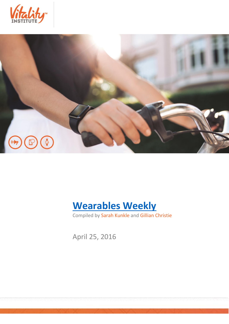





Compiled by Sarah Kunkle and Gillian Christie

April 25, 2016